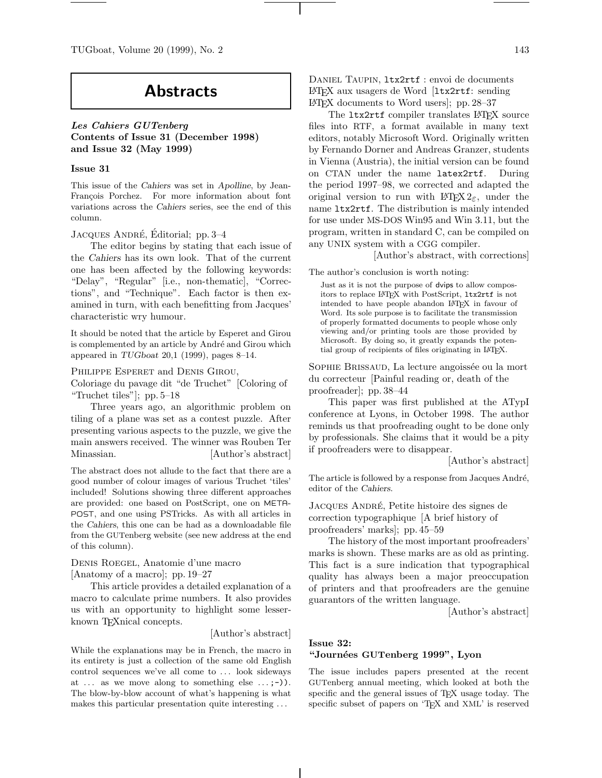TUGboat, Volume 20 (1999), No. 2 143

# **Abstracts**

*Les Cahiers GUTenberg* **Contents of Issue 31 (December 1998) and Issue 32 (May 1999)**

# **Issue 31**

This issue of the *Cahiers* was set in *Apolline*, by Jean-François Porchez. For more information about font variations across the *Cahiers* series, see the end of this column.

# JACQUES ANDRÉ, Éditorial; pp. 3–4

The editor begins by stating that each issue of the *Cahiers* has its own look. That of the current one has been affected by the following keywords: "Delay", "Regular" [i.e., non-thematic], "Corrections", and "Technique". Each factor is then examined in turn, with each benefitting from Jacques' characteristic wry humour.

It should be noted that the article by Esperet and Girou is complemented by an article by André and Girou which appeared in *TUGboat* 20,1 (1999), pages 8–14.

# PHILIPPE ESPERET and DENIS GIROU,

Coloriage du pavage dit "de Truchet" [Coloring of "Truchet tiles"]; pp. 5–18

Three years ago, an algorithmic problem on tiling of a plane was set as a contest puzzle. After presenting various aspects to the puzzle, we give the main answers received. The winner was Rouben Ter Minassian. [Author's abstract]

The abstract does not allude to the fact that there are a good number of colour images of various Truchet 'tiles' included! Solutions showing three different approaches are provided: one based on PostScript, one on META-POST, and one using PSTricks. As with all articles in the *Cahiers*, this one can be had as a downloadable file from the GUTenberg website (see new address at the end of this column).

Denis Roegel, Anatomie d'une macro [Anatomy of a macro]; pp. 19–27

This article provides a detailed explanation of a macro to calculate prime numbers. It also provides us with an opportunity to highlight some lesserknown T<sub>E</sub>Xnical concepts.

#### [Author's abstract]

While the explanations may be in French, the macro in its entirety is just a collection of the same old English control sequences we've all come to . . . look sideways at  $\dots$  as we move along to something else  $\dots$ ;-). The blow-by-blow account of what's happening is what makes this particular presentation quite interesting . . .

DANIEL TAUPIN, ltx2rtf : envoi de documents LATEX aux usagers de Word [ltx2rtf: sending LATEX documents to Word users]; pp. 28–37

The ltx2rtf compiler translates LATEX source files into RTF, a format available in many text editors, notably Microsoft Word. Originally written by Fernando Dorner and Andreas Granzer, students in Vienna (Austria), the initial version can be found on CTAN under the name latex2rtf. During the period 1997–98, we corrected and adapted the original version to run with  $\angle M_{\mathsf{F}} \times 2_{\varepsilon}$ , under the name ltx2rtf. The distribution is mainly intended for use under MS-DOS Win95 and Win 3.11, but the program, written in standard C, can be compiled on any UNIX system with a CGG compiler.

[Author's abstract, with corrections]

The author's conclusion is worth noting:

Just as it is not the purpose of dvips to allow compositors to replace LATEX with PostScript, ltx2rtf is not intended to have people abandon LATEX in favour of Word. Its sole purpose is to facilitate the transmission of properly formatted documents to people whose only viewing and/or printing tools are those provided by Microsoft. By doing so, it greatly expands the potential group of recipients of files originating in LATEX.

SOPHIE BRISSAUD, La lecture angoissée ou la mort du correcteur [Painful reading or, death of the proofreader]; pp. 38–44

This paper was first published at the ATypI conference at Lyons, in October 1998. The author reminds us that proofreading ought to be done only by professionals. She claims that it would be a pity if proofreaders were to disappear.

[Author's abstract]

The article is followed by a response from Jacques André, editor of the *Cahiers*.

JACQUES ANDRÉ, Petite histoire des signes de correction typographique [A brief history of proofreaders' marks]; pp. 45–59

The history of the most important proofreaders' marks is shown. These marks are as old as printing. This fact is a sure indication that typographical quality has always been a major preoccupation of printers and that proofreaders are the genuine guarantors of the written language.

[Author's abstract]

# **Issue 32:**

# **"Journ´ees GUTenberg 1999", Lyon**

The issue includes papers presented at the recent GUTenberg annual meeting, which looked at both the specific and the general issues of TEX usage today. The specific subset of papers on 'TEX and XML' is reserved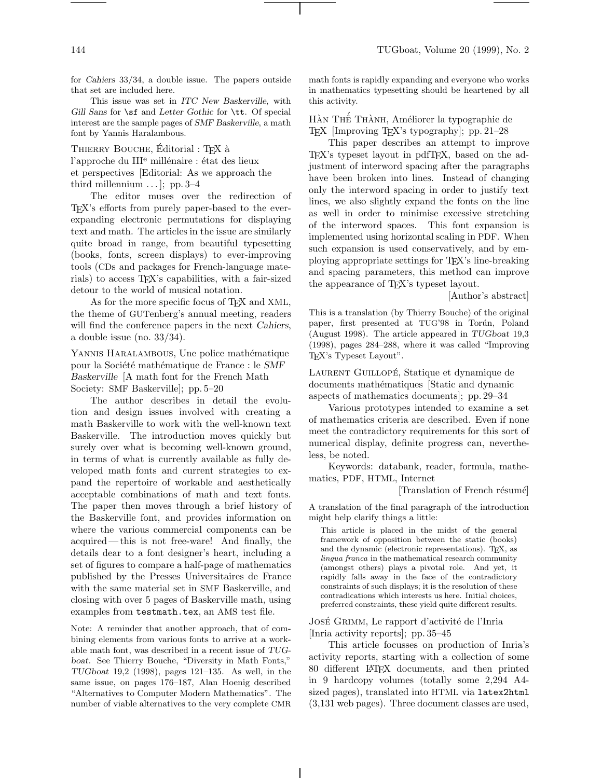144 TUGboat, Volume 20 (1999), No. 2

for *Cahiers* 33/34, a double issue. The papers outside that set are included here.

This issue was set in *ITC New Baskerville*, with *Gill Sans* for \sf and *Letter Gothic* for \tt. Of special interest are the sample pages of *SMF Baskerville*, a math font by Yannis Haralambous.

THIERRY BOUCHE, Editorial : T<sub>F</sub>X à

l'approche du III<sup>e</sup> millénaire : état des lieux et perspectives [Editorial: As we approach the third millennium  $\ldots$ ; pp. 3–4

The editor muses over the redirection of TEX's efforts from purely paper-based to the everexpanding electronic permutations for displaying text and math. The articles in the issue are similarly quite broad in range, from beautiful typesetting (books, fonts, screen displays) to ever-improving tools (CDs and packages for French-language materials) to access TEX's capabilities, with a fair-sized detour to the world of musical notation.

As for the more specific focus of T<sub>E</sub>X and XML, the theme of GUTenberg's annual meeting, readers will find the conference papers in the next *Cahiers*, a double issue (no. 33/34).

YANNIS HARALAMBOUS, Une police mathématique pour la Société mathématique de France : le *SMF Baskerville* [A math font for the French Math Society: SMF Baskerville]; pp. 5–20

The author describes in detail the evolution and design issues involved with creating a math Baskerville to work with the well-known text Baskerville. The introduction moves quickly but surely over what is becoming well-known ground, in terms of what is currently available as fully developed math fonts and current strategies to expand the repertoire of workable and aesthetically acceptable combinations of math and text fonts. The paper then moves through a brief history of the Baskerville font, and provides information on where the various commercial components can be acquired— this is not free-ware! And finally, the details dear to a font designer's heart, including a set of figures to compare a half-page of mathematics published by the Presses Universitaires de France with the same material set in SMF Baskerville, and closing with over 5 pages of Baskerville math, using examples from testmath.tex, an AMS test file.

Note: A reminder that another approach, that of combining elements from various fonts to arrive at a workable math font, was described in a recent issue of *TUGboat*. See Thierry Bouche, "Diversity in Math Fonts," *TUGboat* 19,2 (1998), pages 121–135. As well, in the same issue, on pages 176–187, Alan Hoenig described "Alternatives to Computer Modern Mathematics". The number of viable alternatives to the very complete CMR

math fonts is rapidly expanding and everyone who works in mathematics typesetting should be heartened by all this activity.

HÀN THẾ THÀNH, Améliorer la typographie de TEX [Improving TEX's typography]; pp. 21–28

This paper describes an attempt to improve TEX's typeset layout in pdfTEX, based on the adjustment of interword spacing after the paragraphs have been broken into lines. Instead of changing only the interword spacing in order to justify text lines, we also slightly expand the fonts on the line as well in order to minimise excessive stretching of the interword spaces. This font expansion is implemented using horizontal scaling in PDF. When such expansion is used conservatively, and by employing appropriate settings for TEX's line-breaking and spacing parameters, this method can improve the appearance of TEX's typeset layout.

[Author's abstract]

This is a translation (by Thierry Bouche) of the original paper, first presented at TUG'98 in Torún, Poland (August 1998). The article appeared in *TUGboat* 19,3 (1998), pages 284–288, where it was called "Improving TEX's Typeset Layout".

LAURENT GUILLOPÉ, Statique et dynamique de documents mathématiques [Static and dynamic aspects of mathematics documents]; pp. 29–34

Various prototypes intended to examine a set of mathematics criteria are described. Even if none meet the contradictory requirements for this sort of numerical display, definite progress can, nevertheless, be noted.

Keywords: databank, reader, formula, mathematics, PDF, HTML, Internet

[Translation of French résumé]

A translation of the final paragraph of the introduction might help clarify things a little:

This article is placed in the midst of the general framework of opposition between the static (books) and the dynamic (electronic representations). TEX, as lingua franca in the mathematical research community (amongst others) plays a pivotal role. And yet, it rapidly falls away in the face of the contradictory constraints of such displays; it is the resolution of these contradications which interests us here. Initial choices, preferred constraints, these yield quite different results.

José Grimm, Le rapport d'activité de l'Inria [Inria activity reports]; pp. 35–45

This article focusses on production of Inria's activity reports, starting with a collection of some 80 different LATEX documents, and then printed in 9 hardcopy volumes (totally some 2,294 A4 sized pages), translated into HTML via latex2html (3,131 web pages). Three document classes are used,